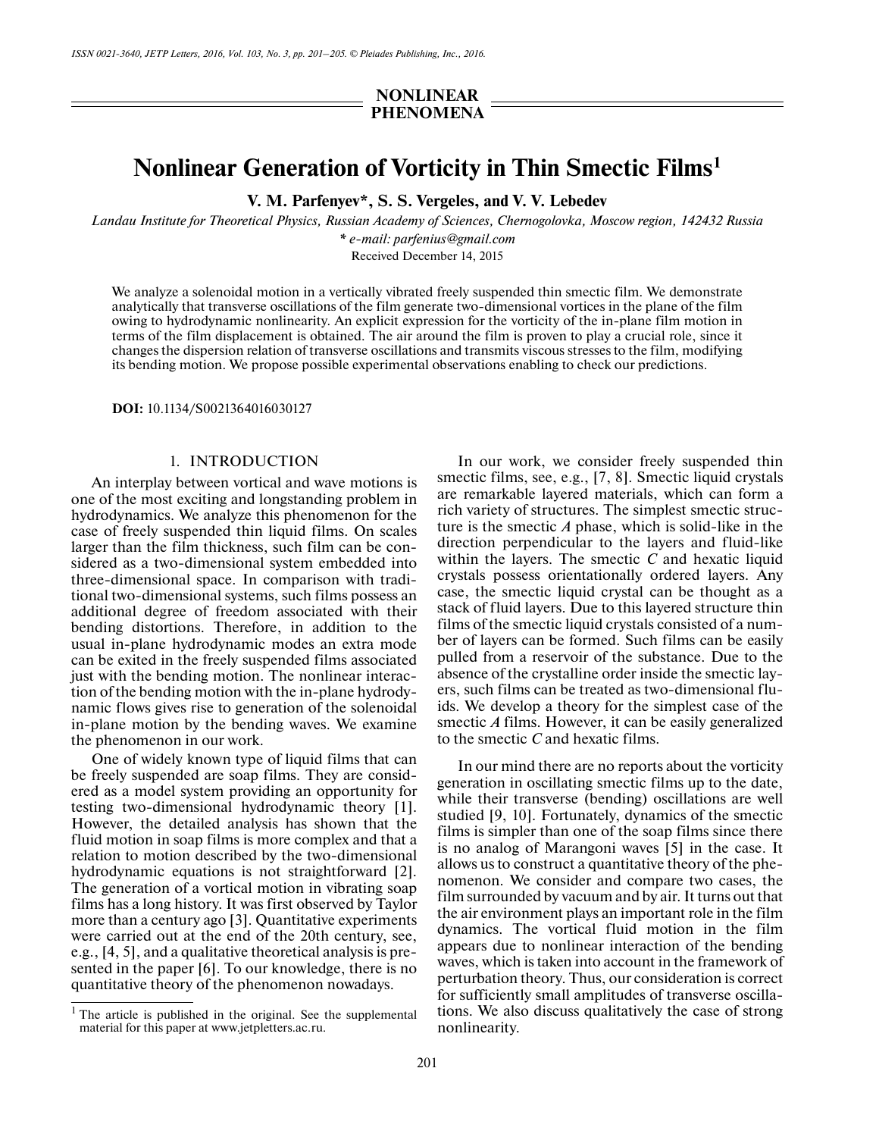## **NONLINEAR PHENOMENA**

# **Nonlinear Generation of Vorticity in Thin Smectic Films1**

**V. M. Parfenyev\*, S. S. Vergeles, and V. V. Lebedev**

*Landau Institute for Theoretical Physics, Russian Academy of Sciences, Chernogolovka, Moscow region, 142432 Russia \* e-mail: parfenius@gmail.com*

Received December 14, 2015

We analyze a solenoidal motion in a vertically vibrated freely suspended thin smectic film. We demonstrate analytically that transverse oscillations of the film generate two-dimensional vortices in the plane of the film owing to hydrodynamic nonlinearity. An explicit expression for the vorticity of the in-plane film motion in terms of the film displacement is obtained. The air around the film is proven to play a crucial role, since it changes the dispersion relation of transverse oscillations and transmits viscous stresses to the film, modifying its bending motion. We propose possible experimental observations enabling to check our predictions.

**DOI:** 10.1134/S0021364016030127

## 1. INTRODUCTION

An interplay between vortical and wave motions is one of the most exciting and longstanding problem in hydrodynamics. We analyze this phenomenon for the case of freely suspended thin liquid films. On scales larger than the film thickness, such film can be considered as a two-dimensional system embedded into three-dimensional space. In comparison with traditional two-dimensional systems, such films possess an additional degree of freedom associated with their bending distortions. Therefore, in addition to the usual in-plane hydrodynamic modes an extra mode can be exited in the freely suspended films associated just with the bending motion. The nonlinear interaction of the bending motion with the in-plane hydrodynamic flows gives rise to generation of the solenoidal in-plane motion by the bending waves. We examine the phenomenon in our work.

One of widely known type of liquid films that can be freely suspended are soap films. They are considered as a model system providing an opportunity for testing two-dimensional hydrodynamic theory [1]. However, the detailed analysis has shown that the fluid motion in soap films is more complex and that a relation to motion described by the two-dimensional hydrodynamic equations is not straightforward [2]. The generation of a vortical motion in vibrating soap films has a long history. It was first observed by Taylor more than a century ago [3]. Quantitative experiments were carried out at the end of the 20th century, see, e.g., [4, 5], and a qualitative theoretical analysis is presented in the paper [6]. To our knowledge, there is no quantitative theory of the phenomenon nowadays.

In our work, we consider freely suspended thin smectic films, see, e.g., [7, 8]. Smectic liquid crystals are remarkable layered materials, which can form a rich variety of structures. The simplest smectic structure is the smectic *A* phase, which is solid-like in the direction perpendicular to the layers and fluid-like within the layers. The smectic *C* and hexatic liquid crystals possess orientationally ordered layers. Any case, the smectic liquid crystal can be thought as a stack of fluid layers. Due to this layered structure thin films of the smectic liquid crystals consisted of a number of layers can be formed. Such films can be easily pulled from a reservoir of the substance. Due to the absence of the crystalline order inside the smectic layers, such films can be treated as two-dimensional fluids. We develop a theory for the simplest case of the smectic *A* films. However, it can be easily generalized to the smectic *C* and hexatic films.

In our mind there are no reports about the vorticity generation in oscillating smectic films up to the date, while their transverse (bending) oscillations are well studied [9, 10]. Fortunately, dynamics of the smectic films is simpler than one of the soap films since there is no analog of Marangoni waves [5] in the case. It allows us to construct a quantitative theory of the phenomenon. We consider and compare two cases, the film surrounded by vacuum and by air. It turns out that the air environment plays an important role in the film dynamics. The vortical fluid motion in the film appears due to nonlinear interaction of the bending waves, which is taken into account in the framework of perturbation theory. Thus, our consideration is correct for sufficiently small amplitudes of transverse oscillations. We also discuss qualitatively the case of strong nonlinearity.

 $<sup>1</sup>$  The article is published in the original. See the supplemental</sup> material for this paper at www.jetpletters.ac.ru.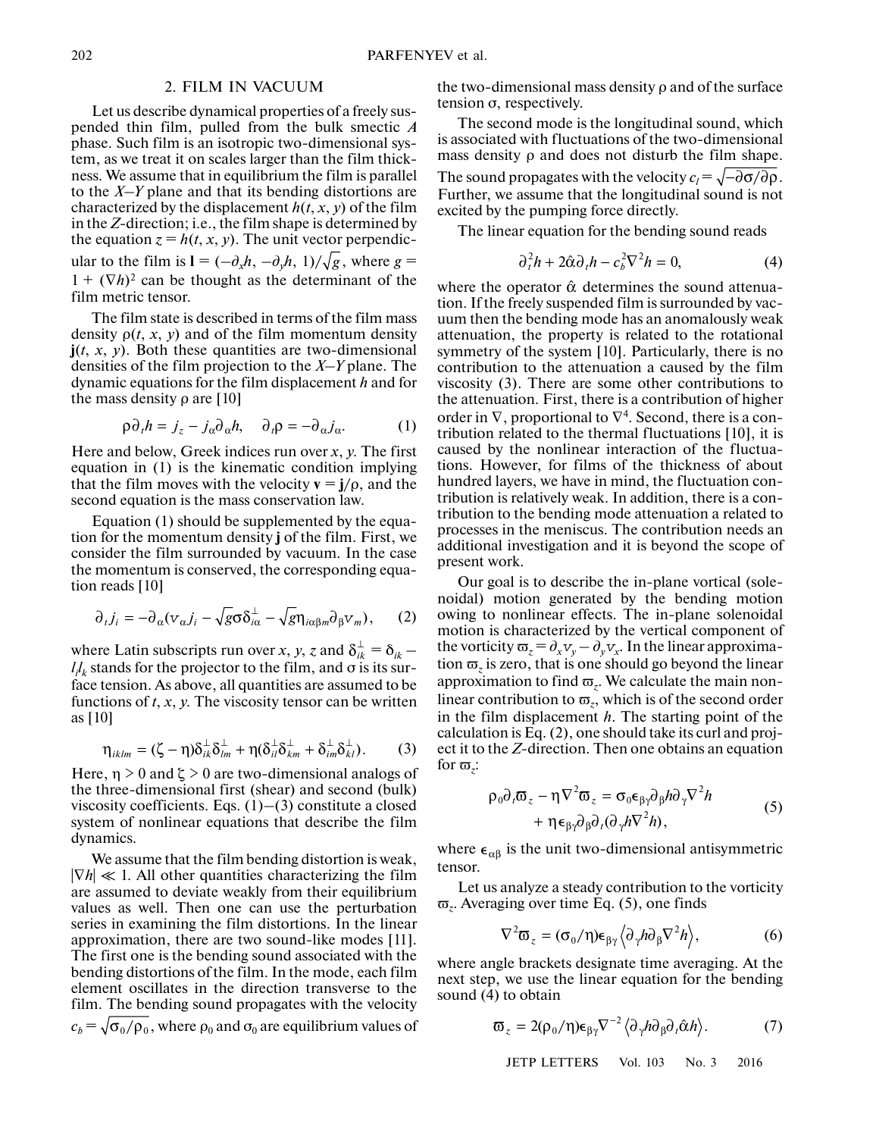## 2. FILM IN VACUUM

Let us describe dynamical properties of a freely suspended thin film, pulled from the bulk smectic *A* phase. Such film is an isotropic two-dimensional system, as we treat it on scales larger than the film thickness. We assume that in equilibrium the film is parallel to the *X*–*Y* plane and that its bending distortions are characterized by the displacement  $h(t, x, y)$  of the film in the *Z*-direction; i.e., the film shape is determined by the equation  $z = h(t, x, y)$ . The unit vector perpendicular to the film is  $\mathbf{l} = (-\partial_x h, -\partial_y h, 1)/\sqrt{g}$ , where  $g =$  $1 + (\nabla h)^2$  can be thought as the determinant of the film metric tensor.

The film state is described in terms of the film mass density  $\rho(t, x, y)$  and of the film momentum density  $\mathbf{j}(t, x, y)$ . Both these quantities are two-dimensional densities of the film projection to the *X*–*Y* plane. The dynamic equations for the film displacement *h* and for the mass density ρ are [10]

$$
\rho \partial_t h = j_z - j_\alpha \partial_\alpha h, \quad \partial_t \rho = -\partial_\alpha j_\alpha. \tag{1}
$$

Here and below, Greek indices run over *x*, *y*. The first equation in (1) is the kinematic condition implying that the film moves with the velocity  $\mathbf{v} = \mathbf{j}/\rho$ , and the second equation is the mass conservation law.

Equation (1) should be supplemented by the equation for the momentum density **j** of the film. First, we consider the film surrounded by vacuum. In the case the momentum is conserved, the corresponding equation reads [10]

$$
\partial_t j_i = -\partial_\alpha (v_\alpha j_i - \sqrt{g} \sigma \delta_{i\alpha}^\perp - \sqrt{g} \eta_{i\alpha\beta m} \partial_\beta v_m), \qquad (2)
$$

where Latin subscripts run over *x*, *y*, *z* and  $\delta_{ik}^{\perp} = \delta_{ik} - 1$  $l_i l_k$  stands for the projector to the film, and  $\sigma$  is its surface tension. As above, all quantities are assumed to be functions of *t*, *x*, *y*. The viscosity tensor can be written as [10]

$$
\eta_{iklm} = (\zeta - \eta) \delta_{ik}^{\perp} \delta_{lm}^{\perp} + \eta (\delta_{il}^{\perp} \delta_{km}^{\perp} + \delta_{im}^{\perp} \delta_{kl}^{\perp}). \tag{3}
$$

Here,  $\eta > 0$  and  $\zeta > 0$  are two-dimensional analogs of the three-dimensional first (shear) and second (bulk) viscosity coefficients. Eqs.  $(1)$ – $(3)$  constitute a closed system of nonlinear equations that describe the film dynamics.

We assume that the film bending distortion is weak, |∇*h*| ≪ 1. All other quantities characterizing the film are assumed to deviate weakly from their equilibrium values as well. Then one can use the perturbation series in examining the film distortions. In the linear approximation, there are two sound-like modes [11]. The first one is the bending sound associated with the bending distortions of the film. In the mode, each film element oscillates in the direction transverse to the film. The bending sound propagates with the velocity  $c_b\!=\!\sqrt{\mathsf{\sigma_{0}}/\mathsf{\rho_{0}}}$  , where  $\mathsf{\rho_{0}}$  and  $\mathsf{\sigma_{0}}$  are equilibrium values of

the two-dimensional mass density ρ and of the surface tension σ, respectively.

The second mode is the longitudinal sound, which is associated with fluctuations of the two-dimensional mass density ρ and does not disturb the film shape. The sound propagates with the velocity  $c_l = \sqrt{-\partial \sigma/\partial \rho}$ . Further, we assume that the longitudinal sound is not excited by the pumping force directly.

The linear equation for the bending sound reads

$$
\partial_t^2 h + 2\hat{\alpha}\partial_t h - c_b^2 \nabla^2 h = 0,\tag{4}
$$

where the operator  $\hat{\alpha}$  determines the sound attenuation. If the freely suspended film is surrounded by vacuum then the bending mode has an anomalously weak attenuation, the property is related to the rotational symmetry of the system [10]. Particularly, there is no contribution to the attenuation a caused by the film viscosity (3). There are some other contributions to the attenuation. First, there is a contribution of higher order in  $\nabla$ , proportional to  $\nabla^4$ . Second, there is a contribution related to the thermal fluctuations [10], it is caused by the nonlinear interaction of the fluctuations. However, for films of the thickness of about hundred layers, we have in mind, the fluctuation contribution is relatively weak. In addition, there is a contribution to the bending mode attenuation a related to processes in the meniscus. The contribution needs an additional investigation and it is beyond the scope of present work.

Our goal is to describe the in-plane vortical (solenoidal) motion generated by the bending motion owing to nonlinear effects. The in-plane solenoidal motion is characterized by the vertical component of the vorticity  $\overline{\omega}_z = \partial_x v_y - \partial_y v_x$ . In the linear approximation  $\varpi$ <sub>z</sub> is zero, that is one should go beyond the linear approximation to find  $\varpi_z$ . We calculate the main nonlinear contribution to  $\varpi_z$ , which is of the second order in the film displacement *h*. The starting point of the calculation is Eq. (2), one should take its curl and project it to the *Z*-direction. Then one obtains an equation for  $\varpi$ .

$$
\rho_0 \partial_t \overline{\omega}_z - \eta \nabla^2 \overline{\omega}_z = \sigma_0 \epsilon_{\beta \gamma} \partial_\beta h \partial_\gamma \nabla^2 h + \eta \epsilon_{\beta \gamma} \partial_\beta \partial_t (\partial_\gamma h \nabla^2 h),
$$
\n(5)

where  $\epsilon_{\alpha\beta}$  is the unit two-dimensional antisymmetric tensor.

Let us analyze a steady contribution to the vorticity  $\varpi$ . Averaging over time Eq. (5), one finds

$$
\nabla^2 \overline{\omega}_z = (\sigma_0/\eta) \epsilon_{\beta\gamma} \langle \partial_\gamma h \partial_\beta \nabla^2 h \rangle, \tag{6}
$$

where angle brackets designate time averaging. At the next step, we use the linear equation for the bending sound (4) to obtain

$$
\boldsymbol{\varpi}_{z} = 2(\rho_0/\eta)\boldsymbol{\epsilon}_{\beta\gamma}\nabla^{-2}\left\langle \partial_{\gamma}h\partial_{\beta}\partial_{\gamma}\hat{\alpha}h\right\rangle. \tag{7}
$$

JETP LETTERS Vol. 103 No. 3 2016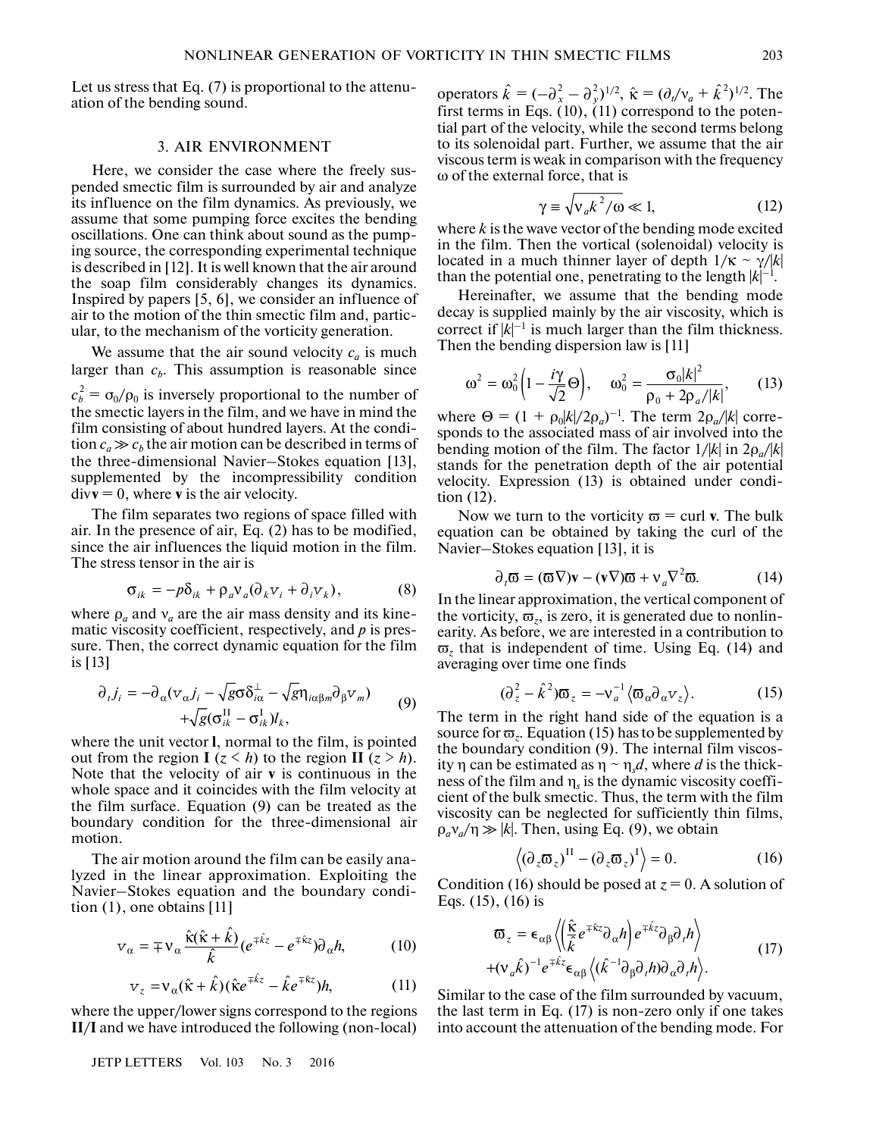Let us stress that Eq. (7) is proportional to the attenuation of the bending sound.

#### 3. AIR ENVIRONMENT

Here, we consider the case where the freely suspended smectic film is surrounded by air and analyze its influence on the film dynamics. As previously, we assume that some pumping force excites the bending oscillations. One can think about sound as the pumping source, the corresponding experimental technique is described in [12]. It is well known that the air around the soap film considerably changes its dynamics. Inspired by papers [5, 6], we consider an influence of air to the motion of the thin smectic film and, particular, to the mechanism of the vorticity generation.

We assume that the air sound velocity  $c_a$  is much larger than  $c<sub>b</sub>$ . This assumption is reasonable since  $c_b^2 = \sigma_0/\rho_0$  is inversely proportional to the number of the smectic layers in the film, and we have in mind the film consisting of about hundred layers. At the condition  $c_a \gg c_b$  the air motion can be described in terms of the three-dimensional Navier–Stokes equation [13], supplemented by the incompressibility condition  $div\mathbf{v} = 0$ , where **v** is the air velocity.

The film separates two regions of space filled with air. In the presence of air, Eq. (2) has to be modified, since the air influences the liquid motion in the film. The stress tensor in the air is

$$
\sigma_{ik} = -p\delta_{ik} + \rho_a v_a (\partial_k v_i + \partial_i v_k), \qquad (8)
$$

where  $\rho_a$  and  $v_a$  are the air mass density and its kinematic viscosity coefficient, respectively, and *p* is pressure. Then, the correct dynamic equation for the film is [13]

$$
\partial_{t} j_{i} = -\partial_{\alpha} (v_{\alpha} j_{i} - \sqrt{g} \sigma \delta_{i\alpha}^{\perp} - \sqrt{g} \eta_{i\alpha\beta m} \partial_{\beta} v_{m}) + \sqrt{g} (\sigma_{ik}^{II} - \sigma_{ik}^{I}) l_{k}, \qquad (9)
$$

where the unit vector **l**, normal to the film, is pointed out from the region **I** ( $z < h$ ) to the region **II** ( $z > h$ ). Note that the velocity of air **v** is continuous in the whole space and it coincides with the film velocity at the film surface. Equation (9) can be treated as the boundary condition for the three-dimensional air motion.

The air motion around the film can be easily analyzed in the linear approximation. Exploiting the Navier–Stokes equation and the boundary condition (1), one obtains [11]

$$
\mathbf{v}_{\alpha} = \mp \mathbf{v}_{\alpha} \frac{\hat{\mathbf{k}}(\hat{\mathbf{k}} + \hat{k})}{\hat{k}} (e^{\mp \hat{k}z} - e^{\mp \hat{k}z}) \partial_{\alpha} h, \tag{10}
$$

$$
v_z = v_\alpha(\hat{\kappa} + \hat{k})(\hat{\kappa}e^{\mp \hat{k}z} - \hat{k}e^{\mp \hat{k}z})h, \tag{11}
$$

where the upper/lower signs correspond to the regions **II**/**I** and we have introduced the following (non-local)

JETP LETTERS Vol. 103 No. 3 2016

operators  $\hat{k} = (-\partial_x^2 - \partial_y^2)^{1/2}$ ,  $\hat{\kappa} = (\partial_y/\nu_a + \hat{k}^2)^{1/2}$ . The first terms in Eqs.  $(10)$ ,  $(11)$  correspond to the potential part of the velocity, while the second terms belong to its solenoidal part. Further, we assume that the air viscous term is weak in comparison with the frequency ω of the external force, that is

$$
\gamma \equiv \sqrt{v_a k^2 / \omega} \ll 1, \tag{12}
$$

where *k* is the wave vector of the bending mode excited in the film. Then the vortical (solenoidal) velocity is located in a much thinner layer of depth  $1/\kappa \sim \gamma/|k|$ than the potential one, penetrating to the length  $|k|^{-1}$ .

Hereinafter, we assume that the bending mode decay is supplied mainly by the air viscosity, which is correct if  $|k|^{-1}$  is much larger than the film thickness. Then the bending dispersion law is [11]

$$
\omega^2 = \omega_0^2 \left( 1 - \frac{i\gamma}{\sqrt{2}} \Theta \right), \quad \omega_0^2 = \frac{\sigma_0 |k|^2}{\rho_0 + 2\rho_a / |k|}, \qquad (13)
$$

where  $\Theta = (1 + \rho_0 |k|/2\rho_a)^{-1}$ . The term  $2\rho_a / |k|$  corresponds to the associated mass of air involved into the bending motion of the film. The factor 1/|*k*| in 2ρ*a*/|*k*| stands for the penetration depth of the air potential velocity. Expression (13) is obtained under condition (12).

Now we turn to the vorticity  $\varpi$  = curl **v**. The bulk equation can be obtained by taking the curl of the Navier–Stokes equation [13], it is

$$
\partial_t \overline{\omega} = (\overline{\omega} \nabla) \mathbf{v} - (\mathbf{v} \nabla) \overline{\omega} + \mathbf{v}_a \nabla^2 \overline{\omega}.
$$
 (14)

In the linear approximation, the vertical component of the vorticity,  $\varpi_z$ , is zero, it is generated due to nonlinearity. As before, we are interested in a contribution to  $\overline{\omega}_z$  that is independent of time. Using Eq. (14) and averaging over time one finds

$$
(\partial_z^2 - \hat{k}^2)\overline{\omega}_z = -v_a^{-1} \langle \overline{\omega}_\alpha \partial_\alpha v_z \rangle.
$$
 (15)

The term in the right hand side of the equation is a source for  $\varpi$ <sub>z</sub>. Equation (15) has to be supplemented by the boundary condition (9). The internal film viscosity η can be estimated as  $η \sim η_s d$ , where *d* is the thickness of the film and η*s* is the dynamic viscosity coefficient of the bulk smectic. Thus, the term with the film viscosity can be neglected for sufficiently thin films,  $\rho_a v_a / \eta \gg |k|$ . Then, using Eq. (9), we obtain

$$
\langle (\partial_z \overline{\mathbf{w}}_z)^{II} - (\partial_z \overline{\mathbf{w}}_z)^{I} \rangle = 0.
$$
 (16)

Condition (16) should be posed at  $z = 0$ . A solution of Eqs. (15), (16) is

$$
\begin{split} \n\overline{\omega}_{z} &= \epsilon_{\alpha\beta} \left\langle \left( \frac{\hat{\kappa}}{\hat{k}} e^{\mp \hat{\kappa} z} \partial_{\alpha} h \right) e^{\mp \hat{k} z} \partial_{\beta} \partial_{\gamma} h \right\rangle \\ \n&+ (\nu_{a} \hat{k})^{-1} e^{\mp \hat{k} z} \epsilon_{\alpha\beta} \left\langle (\hat{k}^{-1} \partial_{\beta} \partial_{\gamma} h) \partial_{\alpha} \partial_{\gamma} h \right\rangle. \n\end{split} \tag{17}
$$

Similar to the case of the film surrounded by vacuum, the last term in Eq. (17) is non-zero only if one takes into account the attenuation of the bending mode. For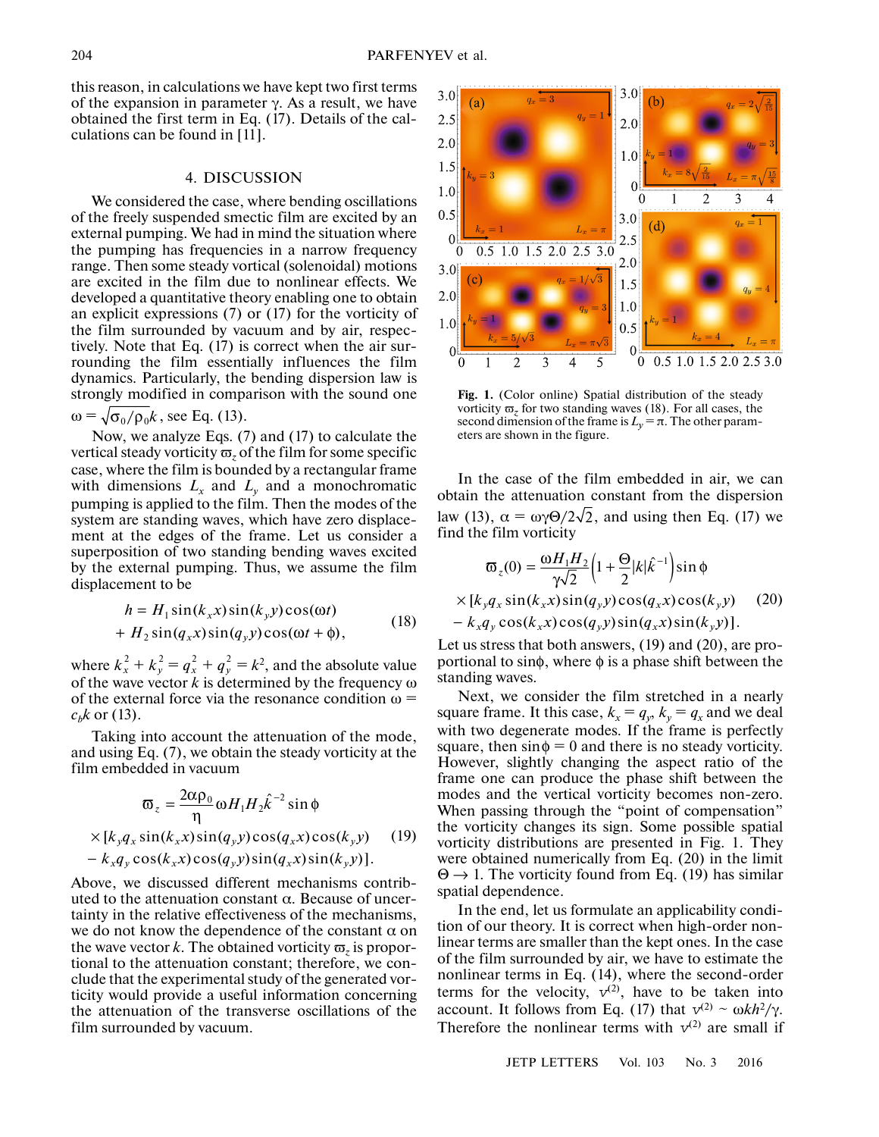this reason, in calculations we have kept two first terms of the expansion in parameter  $\gamma$ . As a result, we have obtained the first term in Eq. (17). Details of the calculations can be found in [11].

#### 4. DISCUSSION

We considered the case, where bending oscillations of the freely suspended smectic film are excited by an external pumping. We had in mind the situation where the pumping has frequencies in a narrow frequency range. Then some steady vortical (solenoidal) motions are excited in the film due to nonlinear effects. We developed a quantitative theory enabling one to obtain an explicit expressions (7) or (17) for the vorticity of the film surrounded by vacuum and by air, respectively. Note that Eq. (17) is correct when the air surrounding the film essentially influences the film dynamics. Particularly, the bending dispersion law is strongly modified in comparison with the sound one  $\omega = \sqrt{\sigma_0/\rho_0 k}$ , see Eq. (13).

Now, we analyze Eqs. (7) and (17) to calculate the vertical steady vorticity  $\varpi$ , of the film for some specific case, where the film is bounded by a rectangular frame with dimensions  $L_x$  and  $L_y$  and a monochromatic pumping is applied to the film. Then the modes of the system are standing waves, which have zero displacement at the edges of the frame. Let us consider a superposition of two standing bending waves excited by the external pumping. Thus, we assume the film displacement to be

$$
h = H_1 \sin(k_x x) \sin(k_y y) \cos(\omega t)
$$
  
+ 
$$
H_2 \sin(q_x x) \sin(q_y y) \cos(\omega t + \phi),
$$
 (18)

where  $k_x^2 + k_y^2 = q_x^2 + q_y^2 = k^2$ , and the absolute value of the wave vector  $k$  is determined by the frequency  $\omega$ of the external force via the resonance condition  $\omega$  =  $c<sub>b</sub>k$  or (13).

Taking into account the attenuation of the mode, and using Eq. (7), we obtain the steady vorticity at the film embedded in vacuum

$$
\varpi_z = \frac{2\alpha \rho_0}{\eta} \omega H_1 H_2 \hat{k}^{-2} \sin \phi
$$
  
×[*k<sub>y</sub>q<sub>x</sub> sin(*k<sub>x</sub>x*) sin(*q<sub>y</sub>y*) cos(*q<sub>x</sub>x*) cos(*k<sub>y</sub>y*) (19)  
- *k<sub>x</sub>q<sub>y</sub> cos(*k<sub>x</sub>x*) cos(*q<sub>y</sub>y*) sin(*q<sub>x</sub>x*) sin(*k<sub>y</sub>y*)].**

Above, we discussed different mechanisms contributed to the attenuation constant α. Because of uncertainty in the relative effectiveness of the mechanisms, we do not know the dependence of the constant  $\alpha$  on the wave vector k. The obtained vorticity  $\varpi$ , is proportional to the attenuation constant; therefore, we conclude that the experimental study of the generated vorticity would provide a useful information concerning the attenuation of the transverse oscillations of the film surrounded by vacuum.



**Fig. 1.** (Color online) Spatial distribution of the steady vorticity  $\overline{\omega}_z$  for two standing waves (18). For all cases, the second dimension of the frame is  $L<sub>v</sub> = \pi$ . The other parameters are shown in the figure.

In the case of the film embedded in air, we can obtain the attenuation constant from the dispersion law (13),  $\alpha = \omega \gamma \Theta / 2\sqrt{2}$ , and using then Eq. (17) we find the film vorticity

$$
\varpi_z(0) = \frac{\omega H_1 H_2}{\gamma \sqrt{2}} \Big( 1 + \frac{\Theta}{2} |k| \hat{k}^{-1} \Big) \sin \phi
$$
  
× [k\_y q\_x sin(k\_x x) sin(q\_y y) cos(q\_x x) cos(k\_y y) (20)  
- k\_x q\_y cos(k\_x x) cos(q\_y y) sin(q\_x x) sin(k\_y y)].

Let us stress that both answers, (19) and (20), are proportional to sin $\phi$ , where  $\phi$  is a phase shift between the standing waves.

Next, we consider the film stretched in a nearly square frame. It this case,  $k_x = q_y$ ,  $k_y = q_x$  and we deal with two degenerate modes. If the frame is perfectly square, then  $sin \phi = 0$  and there is no steady vorticity. However, slightly changing the aspect ratio of the frame one can produce the phase shift between the modes and the vertical vorticity becomes non-zero. When passing through the "point of compensation" the vorticity changes its sign. Some possible spatial vorticity distributions are presented in Fig. 1. They were obtained numerically from Eq. (20) in the limit  $\Theta \rightarrow 1$ . The vorticity found from Eq. (19) has similar spatial dependence.

In the end, let us formulate an applicability condition of our theory. It is correct when high-order nonlinear terms are smaller than the kept ones. In the case of the film surrounded by air, we have to estimate the nonlinear terms in Eq. (14), where the second-order terms for the velocity,  $v^{(2)}$ , have to be taken into account. It follows from Eq. (17) that  $v^{(2)} \sim \omega k h^2 / \gamma$ . Therefore the nonlinear terms with  $v^{(2)}$  are small if

JETP LETTERS Vol. 103 No. 3 2016